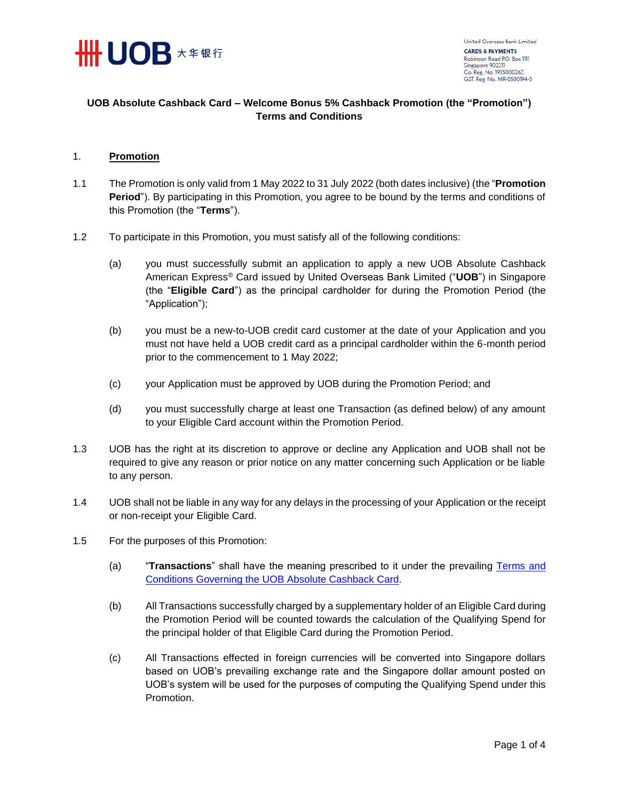

## **UOB Absolute Cashback Card – Welcome Bonus 5% Cashback Promotion (the "Promotion") Terms and Conditions**

## 1. **Promotion**

- 1.1 The Promotion is only valid from 1 May 2022 to 31 July 2022 (both dates inclusive) (the "**Promotion Period**"). By participating in this Promotion, you agree to be bound by the terms and conditions of this Promotion (the "**Terms**").
- 1.2 To participate in this Promotion, you must satisfy all of the following conditions:
	- (a) you must successfully submit an application to apply a new UOB Absolute Cashback American Express® Card issued by United Overseas Bank Limited ("**UOB**") in Singapore (the "**Eligible Card**") as the principal cardholder for during the Promotion Period (the "Application");
	- (b) you must be a new-to-UOB credit card customer at the date of your Application and you must not have held a UOB credit card as a principal cardholder within the 6-month period prior to the commencement to 1 May 2022;
	- (c) your Application must be approved by UOB during the Promotion Period; and
	- (d) you must successfully charge at least one Transaction (as defined below) of any amount to your Eligible Card account within the Promotion Period.
- 1.3 UOB has the right at its discretion to approve or decline any Application and UOB shall not be required to give any reason or prior notice on any matter concerning such Application or be liable to any person.
- 1.4 UOB shall not be liable in any way for any delays in the processing of your Application or the receipt or non-receipt your Eligible Card.
- 1.5 For the purposes of this Promotion:
	- (a) "**Transactions**" shall have the meaning prescribed to it under the prevailing [Terms and](https://www.uob.com.sg/absolutetncs)  [Conditions Governing the UOB Absolute Cashback Card.](https://www.uob.com.sg/absolutetncs)
	- (b) All Transactions successfully charged by a supplementary holder of an Eligible Card during the Promotion Period will be counted towards the calculation of the Qualifying Spend for the principal holder of that Eligible Card during the Promotion Period.
	- (c) All Transactions effected in foreign currencies will be converted into Singapore dollars based on UOB's prevailing exchange rate and the Singapore dollar amount posted on UOB's system will be used for the purposes of computing the Qualifying Spend under this Promotion.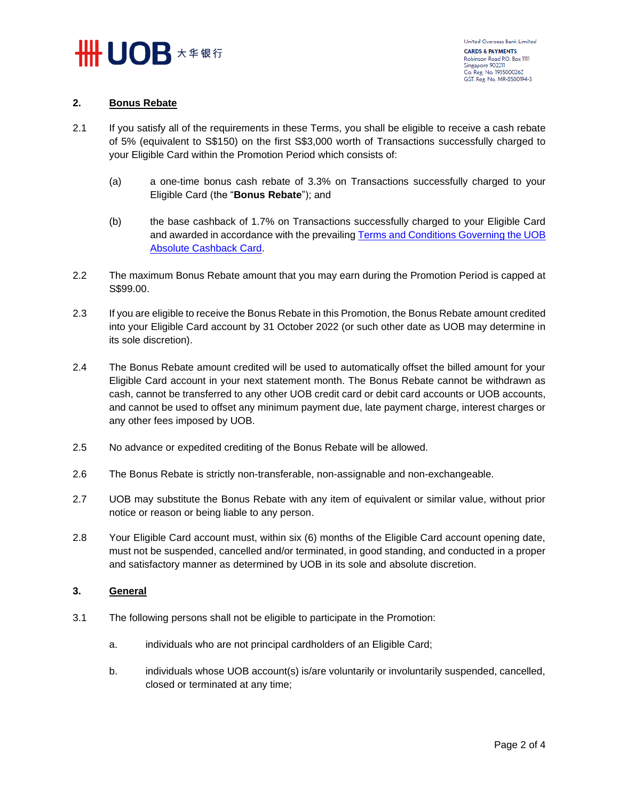

## **2. Bonus Rebate**

- 2.1 If you satisfy all of the requirements in these Terms, you shall be eligible to receive a cash rebate of 5% (equivalent to S\$150) on the first S\$3,000 worth of Transactions successfully charged to your Eligible Card within the Promotion Period which consists of:
	- (a) a one-time bonus cash rebate of 3.3% on Transactions successfully charged to your Eligible Card (the "**Bonus Rebate**"); and
	- (b) the base cashback of 1.7% on Transactions successfully charged to your Eligible Card and awarded in accordance with the prevailing [Terms and Conditions Governing the UOB](https://www.uob.com.sg/absolutetncs)  [Absolute Cashback Card.](https://www.uob.com.sg/absolutetncs)
- 2.2 The maximum Bonus Rebate amount that you may earn during the Promotion Period is capped at S\$99.00.
- 2.3 If you are eligible to receive the Bonus Rebate in this Promotion, the Bonus Rebate amount credited into your Eligible Card account by 31 October 2022 (or such other date as UOB may determine in its sole discretion).
- 2.4 The Bonus Rebate amount credited will be used to automatically offset the billed amount for your Eligible Card account in your next statement month. The Bonus Rebate cannot be withdrawn as cash, cannot be transferred to any other UOB credit card or debit card accounts or UOB accounts, and cannot be used to offset any minimum payment due, late payment charge, interest charges or any other fees imposed by UOB.
- 2.5 No advance or expedited crediting of the Bonus Rebate will be allowed.
- 2.6 The Bonus Rebate is strictly non-transferable, non-assignable and non-exchangeable.
- 2.7 UOB may substitute the Bonus Rebate with any item of equivalent or similar value, without prior notice or reason or being liable to any person.
- 2.8 Your Eligible Card account must, within six (6) months of the Eligible Card account opening date, must not be suspended, cancelled and/or terminated, in good standing, and conducted in a proper and satisfactory manner as determined by UOB in its sole and absolute discretion.

## **3. General**

- 3.1 The following persons shall not be eligible to participate in the Promotion:
	- a. individuals who are not principal cardholders of an Eligible Card;
	- b. individuals whose UOB account(s) is/are voluntarily or involuntarily suspended, cancelled, closed or terminated at any time;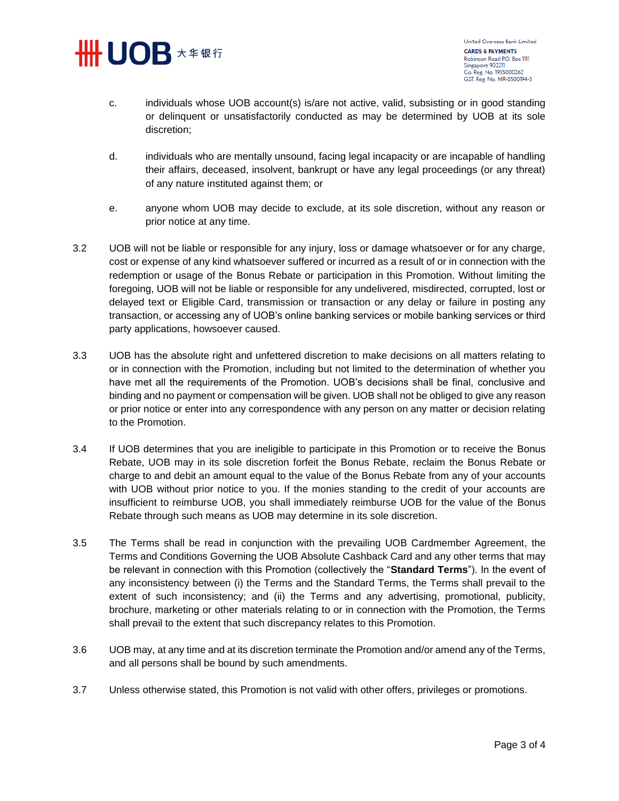

United Overseas Bank Limited **CARDS & PAYMENTS** Robinson Road P.O. Box 1111 Singapore 902211 Co. Reg. No. 193500026Z GST. Reg. No. MR-8500194-3

- c. individuals whose UOB account(s) is/are not active, valid, subsisting or in good standing or delinquent or unsatisfactorily conducted as may be determined by UOB at its sole discretion;
- d. individuals who are mentally unsound, facing legal incapacity or are incapable of handling their affairs, deceased, insolvent, bankrupt or have any legal proceedings (or any threat) of any nature instituted against them; or
- e. anyone whom UOB may decide to exclude, at its sole discretion, without any reason or prior notice at any time.
- 3.2 UOB will not be liable or responsible for any injury, loss or damage whatsoever or for any charge, cost or expense of any kind whatsoever suffered or incurred as a result of or in connection with the redemption or usage of the Bonus Rebate or participation in this Promotion. Without limiting the foregoing, UOB will not be liable or responsible for any undelivered, misdirected, corrupted, lost or delayed text or Eligible Card, transmission or transaction or any delay or failure in posting any transaction, or accessing any of UOB's online banking services or mobile banking services or third party applications, howsoever caused.
- 3.3 UOB has the absolute right and unfettered discretion to make decisions on all matters relating to or in connection with the Promotion, including but not limited to the determination of whether you have met all the requirements of the Promotion. UOB's decisions shall be final, conclusive and binding and no payment or compensation will be given. UOB shall not be obliged to give any reason or prior notice or enter into any correspondence with any person on any matter or decision relating to the Promotion.
- 3.4 If UOB determines that you are ineligible to participate in this Promotion or to receive the Bonus Rebate, UOB may in its sole discretion forfeit the Bonus Rebate, reclaim the Bonus Rebate or charge to and debit an amount equal to the value of the Bonus Rebate from any of your accounts with UOB without prior notice to you. If the monies standing to the credit of your accounts are insufficient to reimburse UOB, you shall immediately reimburse UOB for the value of the Bonus Rebate through such means as UOB may determine in its sole discretion.
- 3.5 The Terms shall be read in conjunction with the prevailing UOB Cardmember Agreement, the Terms and Conditions Governing the UOB Absolute Cashback Card and any other terms that may be relevant in connection with this Promotion (collectively the "**Standard Terms**"). In the event of any inconsistency between (i) the Terms and the Standard Terms, the Terms shall prevail to the extent of such inconsistency; and (ii) the Terms and any advertising, promotional, publicity, brochure, marketing or other materials relating to or in connection with the Promotion, the Terms shall prevail to the extent that such discrepancy relates to this Promotion.
- 3.6 UOB may, at any time and at its discretion terminate the Promotion and/or amend any of the Terms, and all persons shall be bound by such amendments.
- 3.7 Unless otherwise stated, this Promotion is not valid with other offers, privileges or promotions.